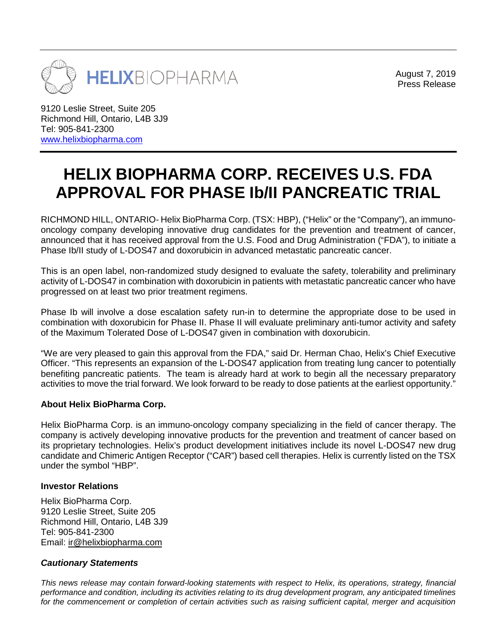

August 7, 2019 Press Release

9120 Leslie Street, Suite 205 Richmond Hill, Ontario, L4B 3J9 Tel: 905-841-2300 [www.helixbiopharma.com](http://www.helixbiopharma.com/)

## **HELIX BIOPHARMA CORP. RECEIVES U.S. FDA APPROVAL FOR PHASE Ib/II PANCREATIC TRIAL**

RICHMOND HILL, ONTARIO- Helix BioPharma Corp. (TSX: HBP), ("Helix" or the "Company"), an immunooncology company developing innovative drug candidates for the prevention and treatment of cancer, announced that it has received approval from the U.S. Food and Drug Administration ("FDA"), to initiate a Phase Ib/II study of L-DOS47 and doxorubicin in advanced metastatic pancreatic cancer.

This is an open label, non-randomized study designed to evaluate the safety, tolerability and preliminary activity of L-DOS47 in combination with doxorubicin in patients with metastatic pancreatic cancer who have progressed on at least two prior treatment regimens.

Phase Ib will involve a dose escalation safety run-in to determine the appropriate dose to be used in combination with doxorubicin for Phase II. Phase II will evaluate preliminary anti-tumor activity and safety of the Maximum Tolerated Dose of L-DOS47 given in combination with doxorubicin.

"We are very pleased to gain this approval from the FDA," said Dr. Herman Chao, Helix's Chief Executive Officer. "This represents an expansion of the L-DOS47 application from treating lung cancer to potentially benefiting pancreatic patients. The team is already hard at work to begin all the necessary preparatory activities to move the trial forward. We look forward to be ready to dose patients at the earliest opportunity."

## **About Helix BioPharma Corp.**

Helix BioPharma Corp. is an immuno-oncology company specializing in the field of cancer therapy. The company is actively developing innovative products for the prevention and treatment of cancer based on its proprietary technologies. Helix's product development initiatives include its novel L-DOS47 new drug candidate and Chimeric Antigen Receptor ("CAR") based cell therapies. Helix is currently listed on the TSX under the symbol "HBP".

## **Investor Relations**

Helix BioPharma Corp. 9120 Leslie Street, Suite 205 Richmond Hill, Ontario, L4B 3J9 Tel: 905-841-2300 Email: [ir@helixbiopharma.com](mailto:ir@helixbiopharma.com)

## *Cautionary Statements*

*This news release may contain forward-looking statements with respect to Helix, its operations, strategy, financial performance and condition, including its activities relating to its drug development program, any anticipated timelines* for the commencement or completion of certain activities such as raising sufficient capital, merger and acquisition